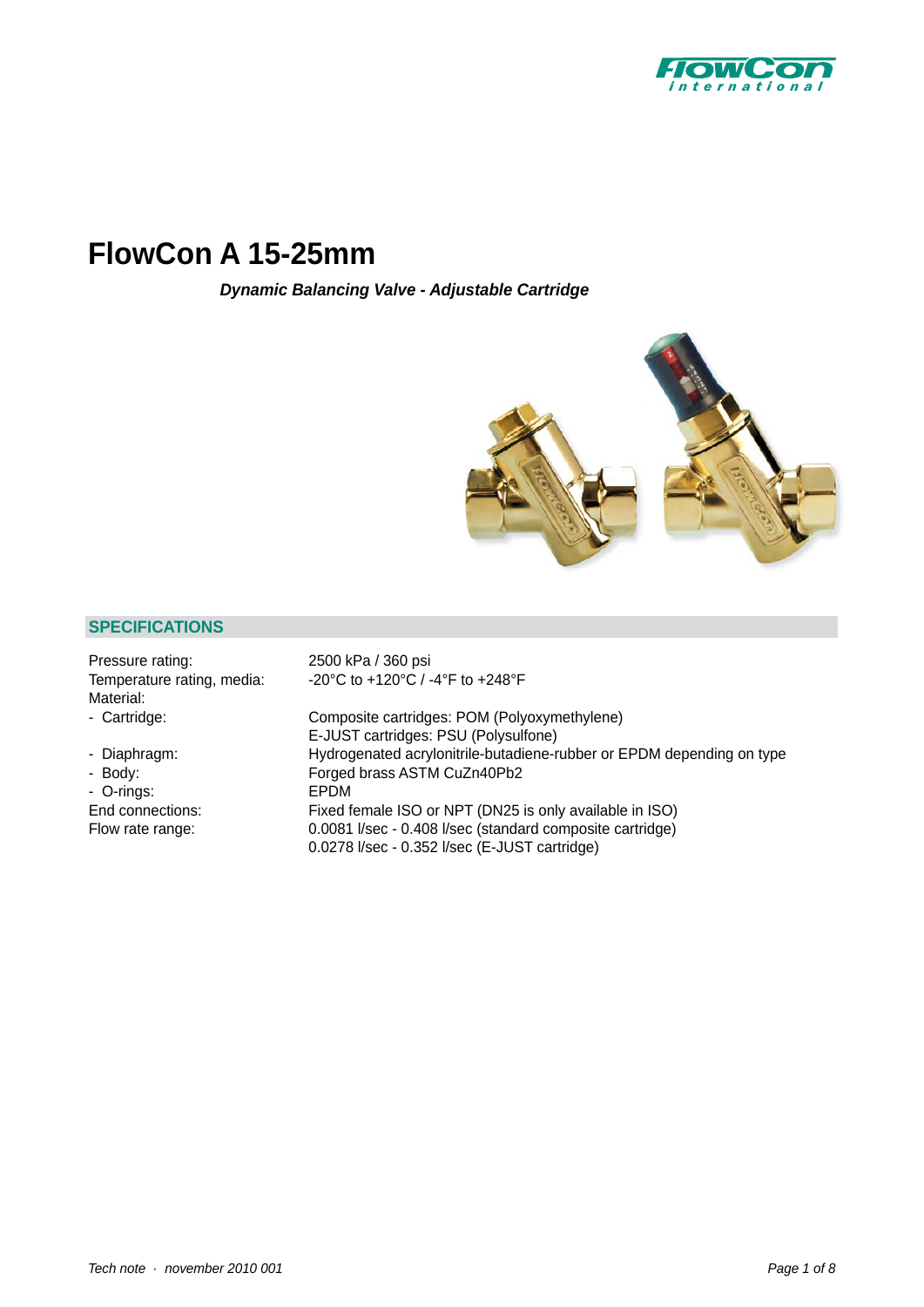

# **FlowCon A 15-25mm**

*Dynamic Balancing Valve - Adjustable Cartridge*



## **SPECIFICATIONS**

| Pressure rating:<br>Temperature rating, media:<br>Material: | 2500 kPa / 360 psi<br>-20°C to +120°C / -4°F to +248°F                |
|-------------------------------------------------------------|-----------------------------------------------------------------------|
| - Cartridge:                                                | Composite cartridges: POM (Polyoxymethylene)                          |
|                                                             | E-JUST cartridges: PSU (Polysulfone)                                  |
| - Diaphragm:                                                | Hydrogenated acrylonitrile-butadiene-rubber or EPDM depending on type |
| - Body:                                                     | Forged brass ASTM CuZn40Pb2                                           |
| - O-rings:                                                  | EPDM                                                                  |
| End connections:                                            | Fixed female ISO or NPT (DN25 is only available in ISO)               |
| Flow rate range:                                            | 0.0081 I/sec - 0.408 I/sec (standard composite cartridge)             |
|                                                             | 0.0278 l/sec - 0.352 l/sec (E-JUST cartridge)                         |
|                                                             |                                                                       |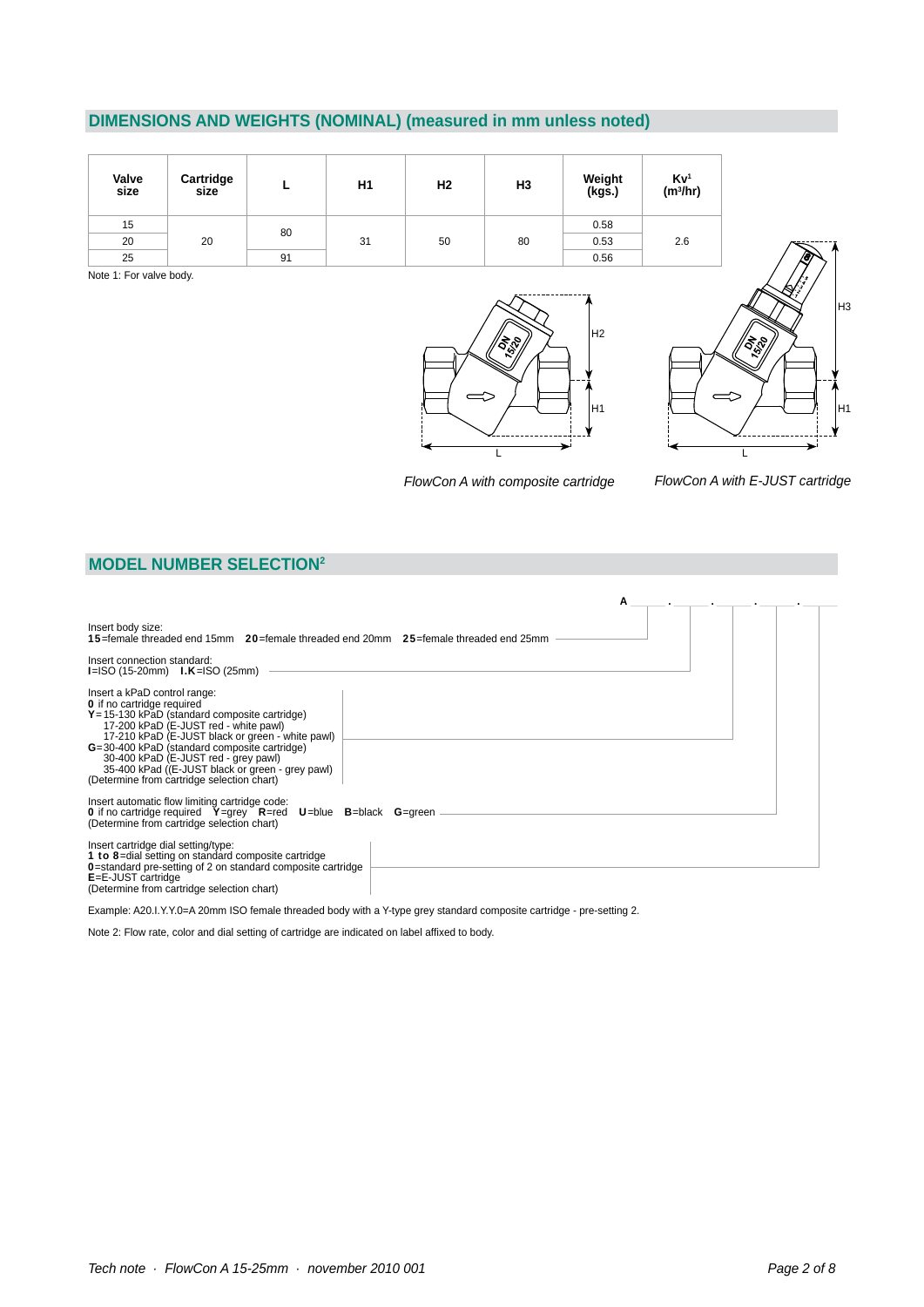# **DIMENSIONS AND WEIGHTS (NOMINAL) (measured in mm unless noted)**

| Valve<br>size | Cartridge<br>size |    | H1 | H <sub>2</sub> | H <sub>3</sub> | Weight<br>(kgs.) | $Kv1$<br>(m <sup>3</sup> /hr) |
|---------------|-------------------|----|----|----------------|----------------|------------------|-------------------------------|
| 15            | 20                | 80 |    |                |                | 0.58             |                               |
| 20            |                   | 31 | 50 | 80             | 0.53           | 2.6              |                               |
| 25            |                   | 91 |    |                |                | 0.56             |                               |

Note 1: For valve body.





*FlowCon A with composite cartridge*

*FlowCon A with E-JUST cartridge*

### **MODEL NUMBER SELECTION2**

| A                                                                                                                                                                                                                                                                                                                                                                                                            |  |
|--------------------------------------------------------------------------------------------------------------------------------------------------------------------------------------------------------------------------------------------------------------------------------------------------------------------------------------------------------------------------------------------------------------|--|
| Insert body size:<br><b>15</b> =female threaded end 15mm 20=female threaded end 20mm 25=female threaded end 25mm                                                                                                                                                                                                                                                                                             |  |
| Insert connection standard:<br>$I = ISO (15-20mm)$ $I.K = ISO (25mm)$                                                                                                                                                                                                                                                                                                                                        |  |
| Insert a kPaD control range:<br><b>O</b> if no cartridge required<br>$Y = 15-130$ kPaD (standard composite cartridge)<br>17-200 kPaD (E-JUST red - white pawl)<br>17-210 kPaD (E-JUST black or green - white pawl)<br>G=30-400 kPaD (standard composite cartridge)<br>30-400 kPaD (E-JUST red - grey pawl)<br>35-400 kPad ((E-JUST black or green - grey pawl)<br>(Determine from cartridge selection chart) |  |
| Insert automatic flow limiting cartridge code:<br><b>O</b> if no cartridge required $Y=$ grey $R=$ red $U=$ blue $B=$ black $G=$ green<br>(Determine from cartridge selection chart)                                                                                                                                                                                                                         |  |
| Insert cartridge dial setting/type:<br>1 to 8-dial setting on standard composite cartridge<br><b>O</b> =standard pre-setting of 2 on standard composite cartridge<br>E=E-JUST cartridge<br>(Determine from cartridge selection chart)                                                                                                                                                                        |  |

Example: A20.I.Y.Y.0=A 20mm ISO female threaded body with a Y-type grey standard composite cartridge - pre-setting 2.

Note 2: Flow rate, color and dial setting of cartridge are indicated on label affixed to body.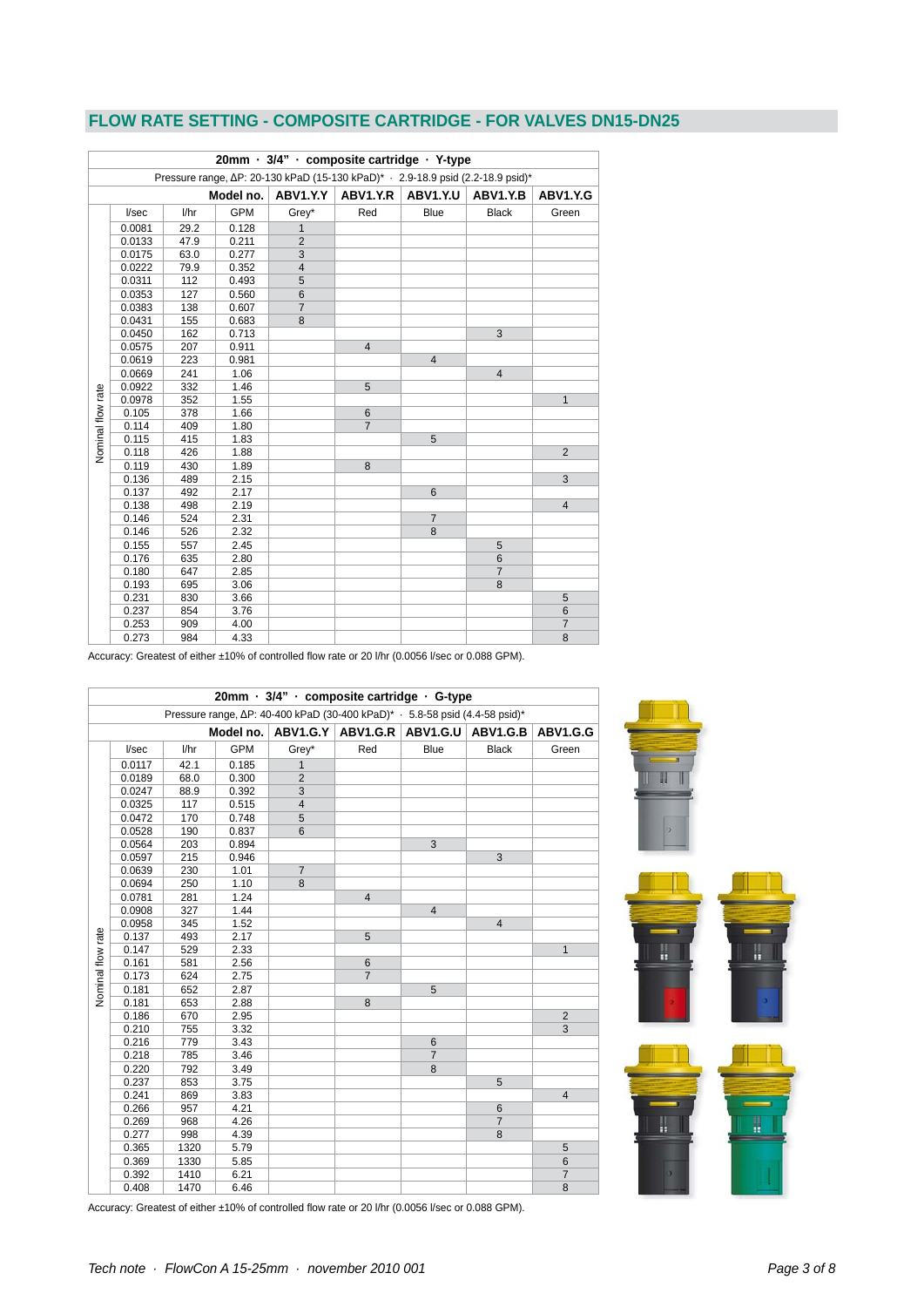## **FLOW RATE SETTING - COMPOSITE CARTRIDGE - FOR VALVES DN15-DN25**

|                   | 20mm · 3/4" · composite cartridge · Y-type                                      |      |            |                |                |                 |                |                |  |
|-------------------|---------------------------------------------------------------------------------|------|------------|----------------|----------------|-----------------|----------------|----------------|--|
|                   | Pressure range, ΔP: 20-130 kPaD (15-130 kPaD)* · 2.9-18.9 psid (2.2-18.9 psid)* |      |            |                |                |                 |                |                |  |
|                   | ABV1.Y.Y<br>ABV1.Y.R<br>ABV1.Y.U<br>Model no.<br>ABV1.Y.B<br>ABV1.Y.G           |      |            |                |                |                 |                |                |  |
|                   | I/sec                                                                           | 1/hr | <b>GPM</b> | Grey*          | Red            | <b>Blue</b>     | <b>Black</b>   | Green          |  |
|                   | 0.0081                                                                          | 29.2 | 0.128      | $\mathbf{1}$   |                |                 |                |                |  |
|                   | 0.0133                                                                          | 47.9 | 0.211      | $\overline{2}$ |                |                 |                |                |  |
|                   | 0.0175                                                                          | 63.0 | 0.277      | 3              |                |                 |                |                |  |
|                   | 0.0222                                                                          | 79.9 | 0.352      | $\overline{4}$ |                |                 |                |                |  |
|                   | 0.0311                                                                          | 112  | 0.493      | 5              |                |                 |                |                |  |
|                   | 0.0353                                                                          | 127  | 0.560      | 6              |                |                 |                |                |  |
|                   | 0.0383                                                                          | 138  | 0.607      | $\overline{7}$ |                |                 |                |                |  |
|                   | 0.0431                                                                          | 155  | 0.683      | 8              |                |                 |                |                |  |
|                   | 0.0450                                                                          | 162  | 0.713      |                |                |                 | 3              |                |  |
|                   | 0.0575                                                                          | 207  | 0.911      |                | $\overline{4}$ |                 |                |                |  |
|                   | 0.0619                                                                          | 223  | 0.981      |                |                | $\overline{4}$  |                |                |  |
|                   | 0.0669                                                                          | 241  | 1.06       |                |                |                 | $\overline{4}$ |                |  |
|                   | 0.0922                                                                          | 332  | 1.46       |                | 5              |                 |                |                |  |
| Nominal flow rate | 0.0978                                                                          | 352  | 1.55       |                |                |                 |                | $\mathbf{1}$   |  |
|                   | 0.105                                                                           | 378  | 1.66       |                | 6              |                 |                |                |  |
|                   | 0.114                                                                           | 409  | 1.80       |                | $\overline{7}$ |                 |                |                |  |
|                   | 0.115                                                                           | 415  | 1.83       |                |                | 5               |                |                |  |
|                   | 0.118                                                                           | 426  | 1.88       |                |                |                 |                | $\overline{2}$ |  |
|                   | 0.119                                                                           | 430  | 1.89       |                | 8              |                 |                |                |  |
|                   | 0.136                                                                           | 489  | 2.15       |                |                |                 |                | 3              |  |
|                   | 0.137                                                                           | 492  | 2.17       |                |                | $6\phantom{1}6$ |                |                |  |
|                   | 0.138                                                                           | 498  | 2.19       |                |                |                 |                | $\overline{4}$ |  |
|                   | 0.146                                                                           | 524  | 2.31       |                |                | $\overline{7}$  |                |                |  |
|                   | 0.146                                                                           | 526  | 2.32       |                |                | 8               |                |                |  |
|                   | 0.155                                                                           | 557  | 2.45       |                |                |                 | 5              |                |  |
|                   | 0.176                                                                           | 635  | 2.80       |                |                |                 | 6              |                |  |
|                   | 0.180                                                                           | 647  | 2.85       |                |                |                 | $\overline{7}$ |                |  |
|                   | 0.193                                                                           | 695  | 3.06       |                |                |                 | 8              |                |  |
|                   | 0.231                                                                           | 830  | 3.66       |                |                |                 |                | 5              |  |
|                   | 0.237                                                                           | 854  | 3.76       |                |                |                 |                | $6\phantom{1}$ |  |
|                   | 0.253                                                                           | 909  | 4.00       |                |                |                 |                | $\overline{7}$ |  |
|                   | 0.273                                                                           | 984  | 4.33       |                |                |                 |                | 8              |  |

Accuracy: Greatest of either ±10% of controlled flow rate or 20 l/hr (0.0056 l/sec or 0.088 GPM).

|                                                                             | 20mm · 3/4" · composite cartridge · G-type                             |      |            |                |                |                |                |                |  |
|-----------------------------------------------------------------------------|------------------------------------------------------------------------|------|------------|----------------|----------------|----------------|----------------|----------------|--|
| Pressure range, ΔP: 40-400 kPaD (30-400 kPaD)* · 5.8-58 psid (4.4-58 psid)* |                                                                        |      |            |                |                |                |                |                |  |
|                                                                             | $ABV1.G.Y$ $ABV1.G.R$<br>ABV1.G.U<br>Model no.<br>ABV1.G.B<br>ABV1.G.G |      |            |                |                |                |                |                |  |
|                                                                             | I/sec                                                                  | 1/hr | <b>GPM</b> | Grey*          | Red            | <b>Blue</b>    | <b>Black</b>   | Green          |  |
|                                                                             | 0.0117                                                                 | 42.1 | 0.185      | $\mathbf{1}$   |                |                |                |                |  |
|                                                                             | 0.0189                                                                 | 68.0 | 0.300      | $\overline{2}$ |                |                |                |                |  |
|                                                                             | 0.0247                                                                 | 88.9 | 0.392      | 3              |                |                |                |                |  |
|                                                                             | 0.0325                                                                 | 117  | 0.515      | $\overline{4}$ |                |                |                |                |  |
|                                                                             | 0.0472                                                                 | 170  | 0.748      | 5              |                |                |                |                |  |
|                                                                             | 0.0528                                                                 | 190  | 0.837      | 6              |                |                |                |                |  |
|                                                                             | 0.0564                                                                 | 203  | 0.894      |                |                | 3              |                |                |  |
|                                                                             | 0.0597                                                                 | 215  | 0.946      |                |                |                | 3              |                |  |
|                                                                             | 0.0639                                                                 | 230  | 1.01       | $\overline{7}$ |                |                |                |                |  |
|                                                                             | 0.0694                                                                 | 250  | 1.10       | 8              |                |                |                |                |  |
|                                                                             | 0.0781                                                                 | 281  | 1.24       |                | $\overline{4}$ |                |                |                |  |
|                                                                             | 0.0908                                                                 | 327  | 1.44       |                |                | $\overline{4}$ |                |                |  |
|                                                                             | 0.0958                                                                 | 345  | 1.52       |                |                |                | $\overline{4}$ |                |  |
|                                                                             | 0.137                                                                  | 493  | 2.17       |                | 5              |                |                |                |  |
|                                                                             | 0.147                                                                  | 529  | 2.33       |                |                |                |                | $\mathbf{1}$   |  |
|                                                                             | 0.161                                                                  | 581  | 2.56       |                | $\,6\,$        |                |                |                |  |
|                                                                             | 0.173                                                                  | 624  | 2.75       |                | $\overline{7}$ |                |                |                |  |
| <b>Vominal flow rate</b>                                                    | 0.181                                                                  | 652  | 2.87       |                |                | 5              |                |                |  |
|                                                                             | 0.181                                                                  | 653  | 2.88       |                | 8              |                |                |                |  |
|                                                                             | 0.186                                                                  | 670  | 2.95       |                |                |                |                | $\overline{2}$ |  |
|                                                                             | 0.210                                                                  | 755  | 3.32       |                |                |                |                | 3              |  |
|                                                                             | 0.216                                                                  | 779  | 3.43       |                |                | $6\phantom{1}$ |                |                |  |
|                                                                             | 0.218                                                                  | 785  | 3.46       |                |                | $\overline{7}$ |                |                |  |
|                                                                             | 0.220                                                                  | 792  | 3.49       |                |                | 8              |                |                |  |
|                                                                             | 0.237                                                                  | 853  | 3.75       |                |                |                | 5              |                |  |
|                                                                             | 0.241                                                                  | 869  | 3.83       |                |                |                |                | $\overline{4}$ |  |
|                                                                             | 0.266                                                                  | 957  | 4.21       |                |                |                | 6              |                |  |
|                                                                             | 0.269                                                                  | 968  | 4.26       |                |                |                | $\overline{7}$ |                |  |
|                                                                             | 0.277                                                                  | 998  | 4.39       |                |                |                | 8              |                |  |
|                                                                             | 0.365                                                                  | 1320 | 5.79       |                |                |                |                | 5              |  |
|                                                                             | 0.369                                                                  | 1330 | 5.85       |                |                |                |                | 6              |  |
|                                                                             | 0.392                                                                  | 1410 | 6.21       |                |                |                |                | $\overline{7}$ |  |
|                                                                             | 0.408                                                                  | 1470 | 6.46       |                |                |                |                | 8              |  |





Accuracy: Greatest of either ±10% of controlled flow rate or 20 l/hr (0.0056 l/sec or 0.088 GPM).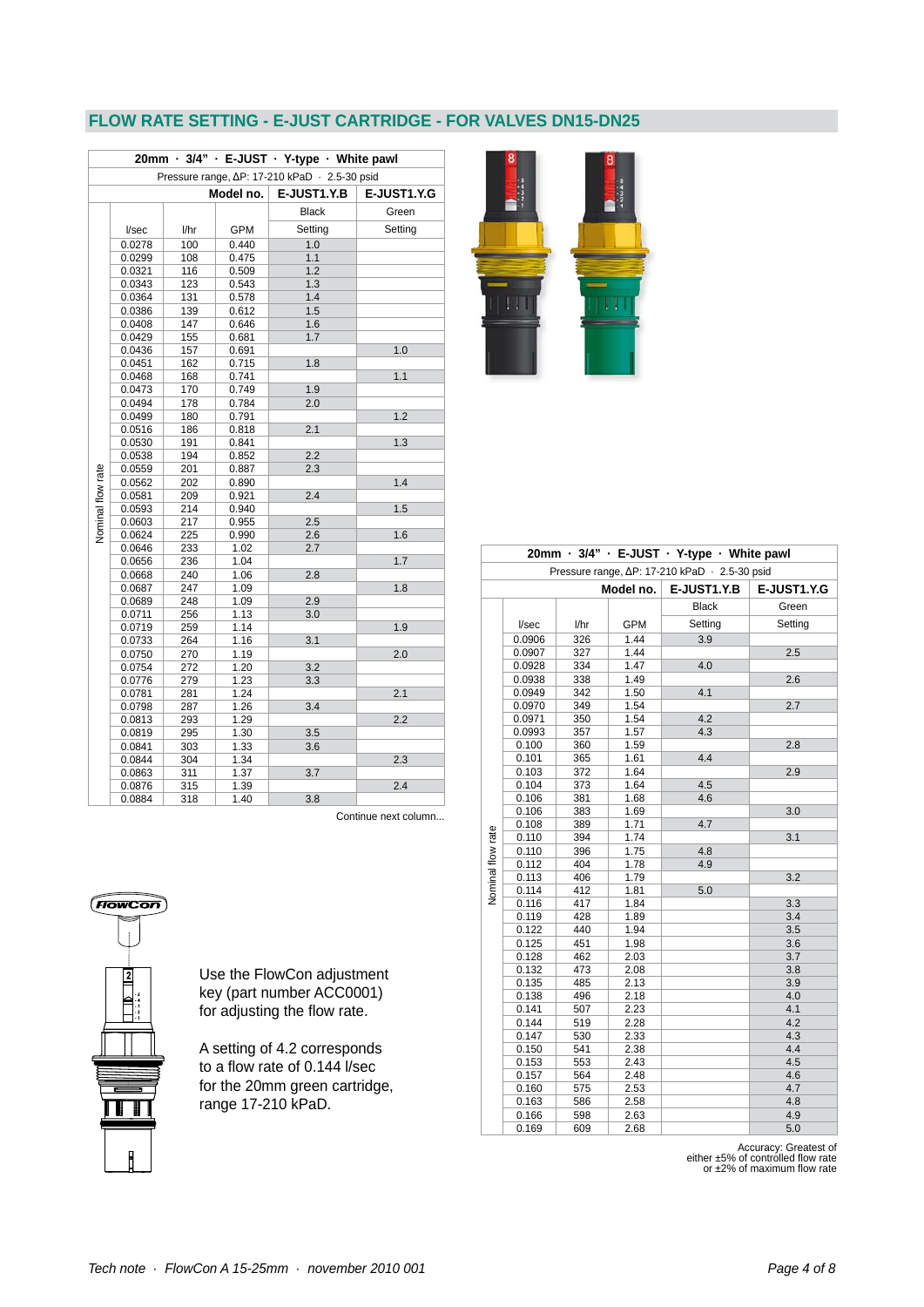## **FLOW RATE SETTING - E-JUST CARTRIDGE - FOR VALVES DN15-DN25**

 $\lfloor \cdot \rfloor$ 

| 20mm · 3/4" · E-JUST · Y-type · White pawl |                                               |      |            |              |             |  |  |  |  |
|--------------------------------------------|-----------------------------------------------|------|------------|--------------|-------------|--|--|--|--|
|                                            | Pressure range, ∆P: 17-210 kPaD · 2.5-30 psid |      |            |              |             |  |  |  |  |
|                                            |                                               |      | Model no.  | E-JUST1.Y.B  | E-JUST1.Y.G |  |  |  |  |
|                                            |                                               |      |            | <b>Black</b> | Green       |  |  |  |  |
|                                            | I/sec                                         | l/hr | <b>GPM</b> | Setting      | Setting     |  |  |  |  |
|                                            | 0.0278                                        | 100  | 0.440      | 1.0          |             |  |  |  |  |
|                                            | 0.0299                                        | 108  | 0.475      | 1.1          |             |  |  |  |  |
|                                            | 0.0321                                        | 116  | 0.509      | 1.2          |             |  |  |  |  |
|                                            | 0.0343                                        | 123  | 0.543      | 1.3          |             |  |  |  |  |
|                                            | 0.0364                                        | 131  | 0.578      | 1.4          |             |  |  |  |  |
|                                            | 0.0386                                        | 139  | 0.612      | 1.5          |             |  |  |  |  |
|                                            | 0.0408                                        | 147  | 0.646      | 1.6          |             |  |  |  |  |
|                                            | 0.0429                                        | 155  | 0.681      | 1.7          |             |  |  |  |  |
|                                            | 0.0436                                        | 157  | 0.691      |              | 1.0         |  |  |  |  |
|                                            | 0.0451                                        | 162  | 0.715      | 1.8          |             |  |  |  |  |
|                                            | 0.0468                                        | 168  | 0.741      |              | 1.1         |  |  |  |  |
|                                            | 0.0473                                        | 170  | 0.749      | 1.9          |             |  |  |  |  |
|                                            | 0.0494                                        | 178  | 0.784      | 2.0          |             |  |  |  |  |
|                                            | 0.0499                                        | 180  | 0.791      |              | 1.2         |  |  |  |  |
|                                            | 0.0516                                        | 186  | 0.818      | 2.1          |             |  |  |  |  |
|                                            | 0.0530                                        | 191  | 0.841      |              | 1.3         |  |  |  |  |
|                                            | 0.0538                                        | 194  | 0.852      | 2.2          |             |  |  |  |  |
|                                            | 0.0559                                        | 201  | 0.887      | 2.3          |             |  |  |  |  |
|                                            | 0.0562                                        | 202  | 0.890      |              | 1.4         |  |  |  |  |
|                                            | 0.0581                                        | 209  | 0.921      | 2.4          |             |  |  |  |  |
|                                            | 0.0593                                        | 214  | 0.940      |              | 1.5         |  |  |  |  |
|                                            | 0.0603                                        | 217  | 0.955      | 2.5          |             |  |  |  |  |
| Nominal flow rate                          | 0.0624                                        | 225  | 0.990      | 2.6          | 1.6         |  |  |  |  |
|                                            | 0.0646                                        | 233  | 1.02       | 2.7          |             |  |  |  |  |
|                                            | 0.0656                                        | 236  | 1.04       |              | 1.7         |  |  |  |  |
|                                            | 0.0668                                        | 240  | 1.06       | 2.8          |             |  |  |  |  |
|                                            | 0.0687                                        | 247  | 1.09       |              | 1.8         |  |  |  |  |
|                                            | 0.0689                                        | 248  | 1.09       | 2.9          |             |  |  |  |  |
|                                            | 0.0711                                        | 256  | 1.13       | 3.0          |             |  |  |  |  |
|                                            | 0.0719                                        | 259  | 1.14       |              | 1.9         |  |  |  |  |
|                                            | 0.0733                                        | 264  | 1.16       | 3.1          |             |  |  |  |  |
|                                            | 0.0750                                        | 270  | 1.19       |              | 2.0         |  |  |  |  |
|                                            | 0.0754                                        | 272  | 1.20       | 3.2          |             |  |  |  |  |
|                                            | 0.0776                                        | 279  | 1.23       | 3.3          |             |  |  |  |  |
|                                            | 0.0781                                        | 281  | 1.24       |              | 2.1         |  |  |  |  |
|                                            | 0.0798                                        | 287  | 1.26       | 3.4          |             |  |  |  |  |
|                                            | 0.0813                                        | 293  | 1.29       |              | 2.2         |  |  |  |  |
|                                            | 0.0819                                        | 295  | 1.30       | 3.5          |             |  |  |  |  |
|                                            | 0.0841                                        | 303  | 1.33       | 3.6          |             |  |  |  |  |
|                                            | 0.0844                                        | 304  | 1.34       |              | 2.3         |  |  |  |  |
|                                            | 0.0863                                        | 311  | 1.37       | 3.7          |             |  |  |  |  |
|                                            | 0.0876                                        | 315  | 1.39       |              | 2.4         |  |  |  |  |
|                                            | 0.0884                                        | 318  | 1.40       | 3.8          |             |  |  |  |  |

Continue next column...

| 70<br>æ             | on` |
|---------------------|-----|
| į<br>$\overline{a}$ |     |
| 2<br>54321          |     |
|                     |     |
| Ē                   |     |
| i                   |     |

Use the FlowCon adjustment key (part number ACC0001) for adjusting the flow rate.

A setting of 4.2 corresponds to a flow rate of 0.144 l/sec for the 20mm green cartridge, range 17-210 kPaD.

|                          |                  |            |              | 20mm · 3/4" · E-JUST · Y-type · White pawl    |                    |
|--------------------------|------------------|------------|--------------|-----------------------------------------------|--------------------|
|                          |                  |            |              | Pressure range, ∆P: 17-210 kPaD · 2.5-30 psid |                    |
|                          |                  |            | Model no.    | <b>E-JUST1.Y.B</b>                            | <b>E-JUST1.Y.G</b> |
|                          |                  |            |              | <b>Black</b>                                  | Green              |
|                          |                  |            |              | Setting                                       | Setting            |
|                          | l/sec            | l/hr       | <b>GPM</b>   |                                               |                    |
|                          | 0.0906           | 326        | 1.44         | 3.9                                           |                    |
|                          | 0.0907           | 327        | 1.44<br>1.47 | 4.0                                           | 2.5                |
|                          | 0.0928           | 334        | 1.49         |                                               | 2.6                |
|                          | 0.0938<br>0.0949 | 338<br>342 | 1.50         | 4.1                                           |                    |
|                          | 0.0970           | 349        | 1.54         |                                               | 2.7                |
|                          | 0.0971           | 350        | 1.54         | 4.2                                           |                    |
|                          | 0.0993           | 357        | 1.57         | 4.3                                           |                    |
|                          | 0.100            | 360        | 1.59         |                                               | 2.8                |
|                          | 0.101            | 365        | 1.61         | 4.4                                           |                    |
|                          | 0.103            | 372        | 1.64         |                                               | 2.9                |
|                          | 0.104            | 373        | 1.64         | 4.5                                           |                    |
|                          | 0.106            | 381        | 1.68         | 4.6                                           |                    |
|                          | 0.106            | 383        | 1.69         |                                               | 3.0                |
|                          | 0.108            | 389        | 1.71         | 4.7                                           |                    |
|                          | 0.110            | 394        | 1.74         |                                               | 3.1                |
|                          | 0.110            | 396        | 1.75         | 4.8                                           |                    |
| <b>Nominal flow rate</b> | 0.112            | 404        | 1.78         | 4.9                                           |                    |
|                          | 0.113            | 406        | 1.79         |                                               | 3.2                |
|                          | 0.114            | 412        | 1.81         | 5.0                                           |                    |
|                          | 0.116            | 417        | 1.84         |                                               | 3.3                |
|                          | 0.119            | 428        | 1.89         |                                               | 3.4                |
|                          | 0.122            | 440        | 1.94         |                                               | 3.5                |
|                          | 0.125            | 451        | 1.98         |                                               | 3.6                |
|                          | 0.128            | 462        | 2.03         |                                               | 3.7                |
|                          | 0.132            | 473        | 2.08         |                                               | 3.8                |
|                          | 0.135            | 485        | 2.13         |                                               | 3.9                |
|                          | 0.138            | 496        | 2.18         |                                               | 4.0                |
|                          | 0.141            | 507        | 2.23         |                                               | 4.1                |
|                          | 0.144            | 519        | 2.28         |                                               | 4.2                |
|                          | 0.147            | 530        | 2.33         |                                               | 4.3                |
|                          | 0.150            | 541        | 2.38         |                                               | 4.4                |
|                          | 0.153            | 553        | 2.43         |                                               | 4.5                |
|                          | 0.157            | 564        | 2.48         |                                               | 4.6                |
|                          | 0.160            | 575        | 2.53         |                                               | 4.7                |
|                          | 0.163            | 586        | 2.58         |                                               | 4.8                |
|                          | 0.166            | 598        | 2.63         |                                               | 4.9                |
|                          | 0.169            | 609        | 2.68         |                                               | 5.0                |

Accuracy: Greatest of<br>either ±5% of controlled flow rate<br>or ±2% of maximum flow rate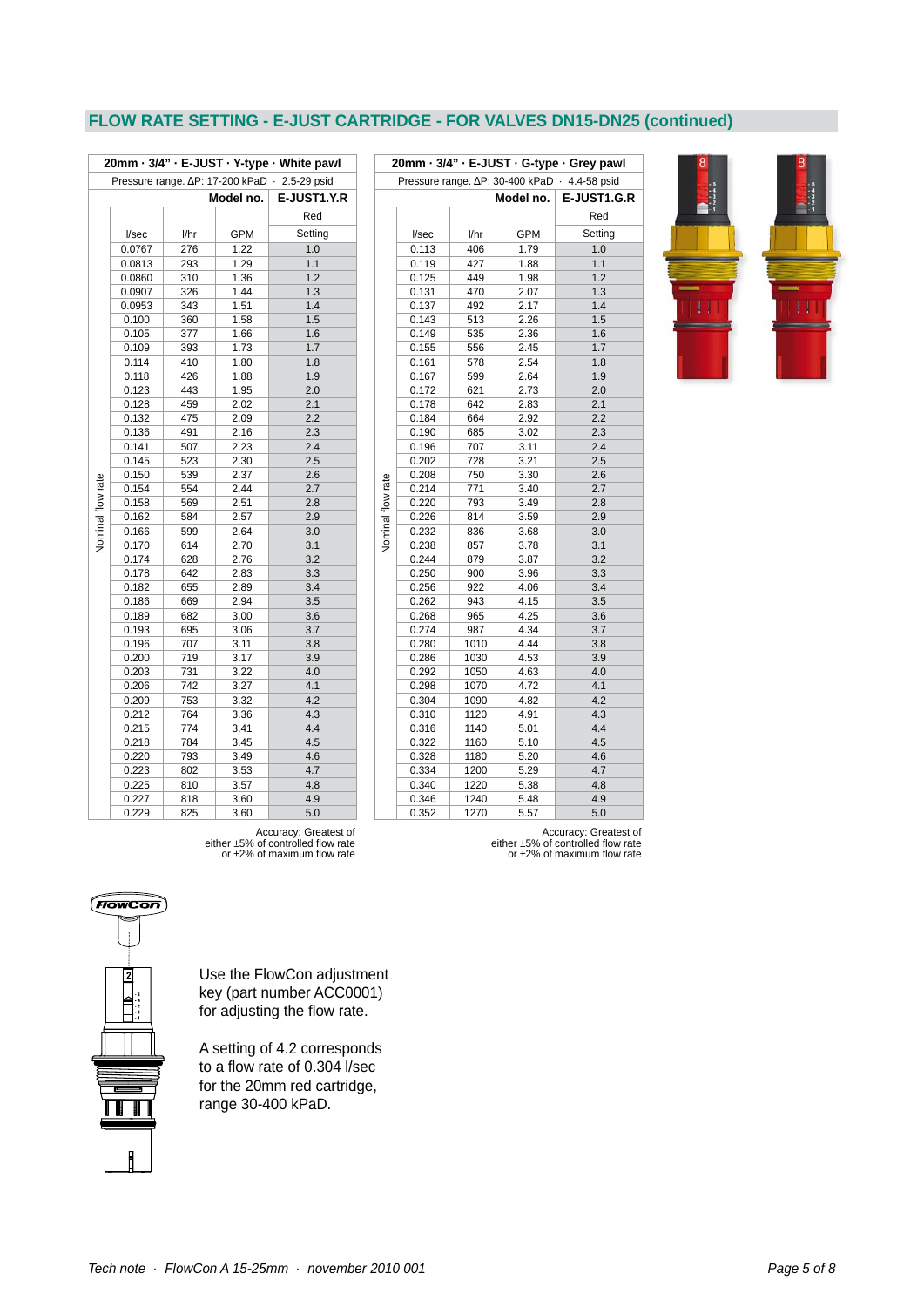## **FLOW RATE SETTING - E-JUST CARTRIDGE - FOR VALVES DN15-DN25 (continued)**

| 20mm · 3/4" · E-JUST · Y-type · White pawl    |                |            |              |             |  |  |  |
|-----------------------------------------------|----------------|------------|--------------|-------------|--|--|--|
| Pressure range. AP: 17-200 kPaD · 2.5-29 psid |                |            |              |             |  |  |  |
|                                               |                |            | Model no.    | E-JUST1.Y.R |  |  |  |
|                                               |                |            |              | Red         |  |  |  |
|                                               | I/sec          | l/hr       | <b>GPM</b>   | Setting     |  |  |  |
|                                               | 0.0767         | 276        | 1.22         | 1.0         |  |  |  |
|                                               | 0.0813         | 293        | 1.29         | 1.1         |  |  |  |
|                                               | 0.0860         | 310        | 1.36         | 1.2         |  |  |  |
|                                               | 0.0907         | 326        | 1.44         | 1.3         |  |  |  |
|                                               | 0.0953         | 343        | 1.51         | 1.4         |  |  |  |
|                                               | 0.100          | 360        | 1.58         | 1.5         |  |  |  |
|                                               | 0.105          | 377        | 1.66         | 1.6         |  |  |  |
|                                               | 0.109          | 393        | 1.73         | 1.7         |  |  |  |
|                                               | 0.114          | 410        | 1.80         | 1.8         |  |  |  |
|                                               | 0.118          | 426        | 1.88         | 1.9         |  |  |  |
|                                               | 0.123          | 443        | 1.95         | 2.0         |  |  |  |
|                                               | 0.128          | 459        | 2.02         | 2.1         |  |  |  |
|                                               | 0.132          | 475        | 2.09         | 2.2         |  |  |  |
|                                               | 0.136          | 491        | 2.16         | 2.3         |  |  |  |
|                                               | 0.141          | 507        | 2.23         | 2.4         |  |  |  |
|                                               | 0.145          | 523        | 2.30         | 2.5         |  |  |  |
|                                               | 0.150          | 539        | 2.37         | 2.6         |  |  |  |
| Nominal flow rate                             | 0.154          | 554        | 2.44         | 2.7         |  |  |  |
|                                               | 0.158          | 569        | 2.51         | 2.8         |  |  |  |
|                                               | 0.162          | 584        | 2.57         | 2.9         |  |  |  |
|                                               | 0.166          | 599        | 2.64         | 3.0         |  |  |  |
|                                               | 0.170          | 614        | 2.70         | 3.1         |  |  |  |
|                                               | 0.174          | 628        | 2.76         | 3.2         |  |  |  |
|                                               | 0.178          | 642        | 2.83         | 3.3         |  |  |  |
|                                               | 0.182          | 655        | 2.89         | 3.4         |  |  |  |
|                                               | 0.186          | 669        | 2.94         | 3.5         |  |  |  |
|                                               | 0.189<br>0.193 | 682<br>695 | 3.00<br>3.06 | 3.6<br>3.7  |  |  |  |
|                                               | 0.196          | 707        | 3.11         | 3.8         |  |  |  |
|                                               | 0.200          | 719        | 3.17         | 3.9         |  |  |  |
|                                               | 0.203          | 731        | 3.22         | 4.0         |  |  |  |
|                                               | 0.206          | 742        | 3.27         | 4.1         |  |  |  |
|                                               | 0.209          | 753        | 3.32         | 4.2         |  |  |  |
|                                               | 0.212          | 764        | 3.36         | 4.3         |  |  |  |
|                                               | 0.215          | 774        | 3.41         | 4.4         |  |  |  |
|                                               | 0.218          | 784        | 3.45         | 4.5         |  |  |  |
|                                               | 0.220          | 793        | 3.49         | 4.6         |  |  |  |
|                                               | 0.223          | 802        | 3.53         | 4.7         |  |  |  |
|                                               | 0.225          | 810        | 3.57         | 4.8         |  |  |  |
|                                               | 0.227          | 818        | 3.60         | 4.9         |  |  |  |
|                                               | 0.229          | 825        | 3.60         | 5.0         |  |  |  |

| 20mm · 3/4" · E-JUST · G-type · Grey pawl     |       |      |            |             |  |  |  |  |
|-----------------------------------------------|-------|------|------------|-------------|--|--|--|--|
| Pressure range. △P: 30-400 kPaD · 4.4-58 psid |       |      |            |             |  |  |  |  |
|                                               |       |      | Model no.  | E-JUST1.G.R |  |  |  |  |
|                                               |       |      |            | Red         |  |  |  |  |
|                                               | l/sec | l/hr | <b>GPM</b> | Setting     |  |  |  |  |
|                                               | 0.113 | 406  | 1.79       | 1.0         |  |  |  |  |
|                                               | 0.119 | 427  | 1.88       | 1.1         |  |  |  |  |
|                                               | 0.125 | 449  | 1.98       | 1.2         |  |  |  |  |
|                                               | 0.131 | 470  | 2.07       | 1.3         |  |  |  |  |
|                                               | 0.137 | 492  | 2.17       | 1.4         |  |  |  |  |
|                                               | 0.143 | 513  | 2.26       | 1.5         |  |  |  |  |
|                                               | 0.149 | 535  | 2.36       | 1.6         |  |  |  |  |
|                                               | 0.155 | 556  | 2.45       | 1.7         |  |  |  |  |
|                                               | 0.161 | 578  | 2.54       | 1.8         |  |  |  |  |
|                                               | 0.167 | 599  | 2.64       | 1.9         |  |  |  |  |
|                                               | 0.172 | 621  | 2.73       | 2.0         |  |  |  |  |
|                                               | 0.178 | 642  | 2.83       | 2.1         |  |  |  |  |
|                                               | 0.184 | 664  | 2.92       | 2.2         |  |  |  |  |
|                                               | 0.190 | 685  | 3.02       | 2.3         |  |  |  |  |
|                                               | 0.196 | 707  | 3.11       | 2.4         |  |  |  |  |
|                                               | 0.202 | 728  | 3.21       | 2.5         |  |  |  |  |
|                                               | 0.208 | 750  | 3.30       | 2.6         |  |  |  |  |
|                                               | 0.214 | 771  | 3.40       | 2.7         |  |  |  |  |
|                                               | 0.220 | 793  | 3.49       | 2.8         |  |  |  |  |
| Nominal flow rate                             | 0.226 | 814  | 3.59       | 2.9         |  |  |  |  |
|                                               | 0.232 | 836  | 3.68       | 3.0         |  |  |  |  |
|                                               | 0.238 | 857  | 3.78       | 3.1         |  |  |  |  |
|                                               | 0.244 | 879  | 3.87       | 3.2         |  |  |  |  |
|                                               | 0.250 | 900  | 3.96       | 3.3         |  |  |  |  |
|                                               | 0.256 | 922  | 4.06       | 3.4         |  |  |  |  |
|                                               | 0.262 | 943  | 4.15       | 3.5         |  |  |  |  |
|                                               | 0.268 | 965  | 4.25       | 3.6         |  |  |  |  |
|                                               | 0.274 | 987  | 4.34       | 3.7         |  |  |  |  |
|                                               | 0.280 | 1010 | 4.44       | 3.8         |  |  |  |  |
|                                               | 0.286 | 1030 | 4.53       | 3.9         |  |  |  |  |
|                                               | 0.292 | 1050 | 4.63       | 4.0         |  |  |  |  |
|                                               | 0.298 | 1070 | 4.72       | 4.1         |  |  |  |  |
|                                               | 0.304 | 1090 | 4.82       | 4.2         |  |  |  |  |
|                                               | 0.310 | 1120 | 4.91       | 4.3         |  |  |  |  |
|                                               | 0.316 | 1140 | 5.01       | 4.4         |  |  |  |  |
|                                               | 0.322 | 1160 | 5.10       | 4.5         |  |  |  |  |
|                                               | 0.328 | 1180 | 5.20       | 4.6         |  |  |  |  |
|                                               | 0.334 | 1200 | 5.29       | 4.7         |  |  |  |  |
|                                               | 0.340 | 1220 | 5.38       | 4.8         |  |  |  |  |
|                                               | 0.346 | 1240 | 5.48       | 4.9         |  |  |  |  |
|                                               | 0.352 | 1270 | 5.57       | 5.0         |  |  |  |  |



Accuracy: Greatest of<br>either ±5% of controlled flow rate<br>or ±2% of maximum flow rate

Accuracy: Greatest of<br>either ±5% of controlled flow rate<br>or ±2% of maximum flow rate



Use the FlowCon adjustment key (part number ACC0001) for adjusting the flow rate.

A setting of 4.2 corresponds to a flow rate of 0.304 l/sec for the 20mm red cartridge, range 30-400 kPaD.

*Tech note · FlowCon A 15-25mm · november 2010 001 Page 5 of 8*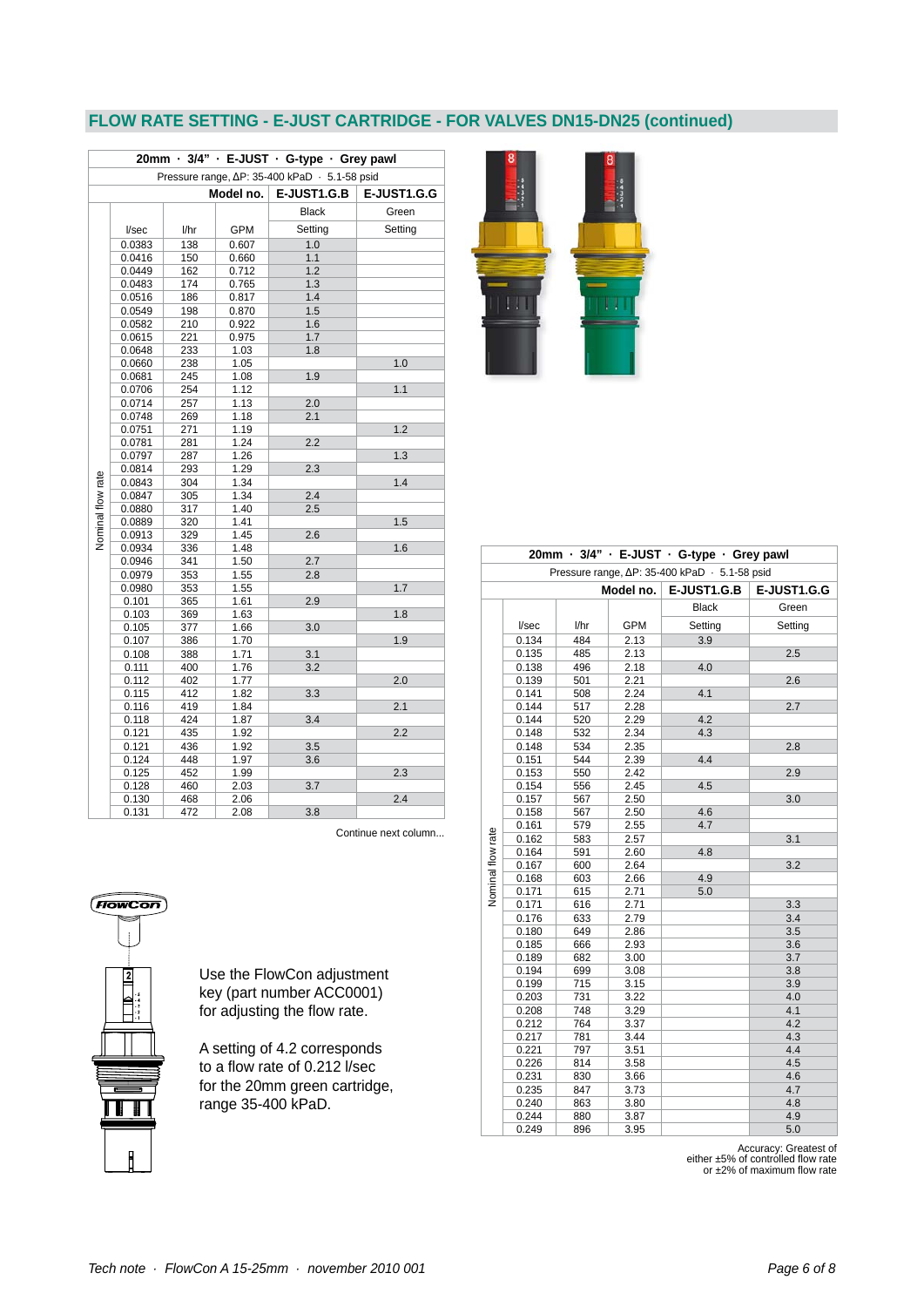# **FLOW RATE SETTING - E-JUST CARTRIDGE - FOR VALVES DN15-DN25 (continued)**

| 20mm · 3/4" · E-JUST · G-type · Grey pawl |        |      |            |                                               |             |  |  |
|-------------------------------------------|--------|------|------------|-----------------------------------------------|-------------|--|--|
|                                           |        |      |            | Pressure range, ∆P: 35-400 kPaD · 5.1-58 psid |             |  |  |
|                                           |        |      | Model no.  | E-JUST1.G.B                                   | E-JUST1.G.G |  |  |
|                                           |        |      |            | <b>Black</b>                                  | Green       |  |  |
|                                           | I/sec  | l/hr | <b>GPM</b> | Setting                                       | Setting     |  |  |
|                                           | 0.0383 | 138  | 0.607      | 1.0                                           |             |  |  |
|                                           | 0.0416 | 150  | 0.660      | 1.1                                           |             |  |  |
|                                           | 0.0449 | 162  | 0.712      | 1.2                                           |             |  |  |
|                                           | 0.0483 | 174  | 0.765      | 1.3                                           |             |  |  |
|                                           | 0.0516 | 186  | 0.817      | 1.4                                           |             |  |  |
|                                           | 0.0549 | 198  | 0.870      | 1.5                                           |             |  |  |
|                                           | 0.0582 | 210  | 0.922      | 1.6                                           |             |  |  |
|                                           | 0.0615 | 221  | 0.975      | 1.7                                           |             |  |  |
|                                           | 0.0648 | 233  | 1.03       | 1.8                                           |             |  |  |
|                                           | 0.0660 | 238  | 1.05       |                                               | 1.0         |  |  |
|                                           | 0.0681 | 245  | 1.08       | 1.9                                           |             |  |  |
|                                           | 0.0706 | 254  | 1.12       |                                               | 1.1         |  |  |
|                                           | 0.0714 | 257  | 1.13       | 2.0                                           |             |  |  |
|                                           | 0.0748 | 269  | 1.18       | 2.1                                           |             |  |  |
|                                           | 0.0751 | 271  | 1.19       |                                               | 1.2         |  |  |
|                                           | 0.0781 | 281  | 1.24       | 2.2                                           |             |  |  |
|                                           | 0.0797 | 287  | 1.26       |                                               | 1.3         |  |  |
|                                           | 0.0814 | 293  | 1.29       | 2.3                                           |             |  |  |
|                                           | 0.0843 | 304  | 1.34       |                                               | 1.4         |  |  |
|                                           | 0.0847 | 305  | 1.34       | 2.4                                           |             |  |  |
|                                           | 0.0880 | 317  | 1.40       | 2.5                                           |             |  |  |
|                                           | 0.0889 | 320  | 1.41       |                                               | 1.5         |  |  |
| Nominal flow rate                         | 0.0913 | 329  | 1.45       | 2.6                                           |             |  |  |
|                                           | 0.0934 | 336  | 1.48       |                                               | 1.6         |  |  |
|                                           | 0.0946 | 341  | 1.50       | 2.7                                           |             |  |  |
|                                           | 0.0979 | 353  | 1.55       | 2.8                                           |             |  |  |
|                                           | 0.0980 | 353  | 1.55       |                                               | 1.7         |  |  |
|                                           | 0.101  | 365  | 1.61       | 2.9                                           |             |  |  |
|                                           | 0.103  | 369  | 1.63       |                                               | 1.8         |  |  |
|                                           | 0.105  | 377  | 1.66       | 3.0                                           |             |  |  |
|                                           | 0.107  | 386  | 1.70       |                                               | 1.9         |  |  |
|                                           | 0.108  | 388  | 1.71       | 3.1                                           |             |  |  |
|                                           | 0.111  | 400  | 1.76       | 3.2                                           |             |  |  |
|                                           | 0.112  | 402  | 1.77       |                                               | 2.0         |  |  |
|                                           | 0.115  | 412  | 1.82       | 3.3                                           |             |  |  |
|                                           | 0.116  | 419  | 1.84       |                                               | 2.1         |  |  |
|                                           | 0.118  | 424  | 1.87       | 3.4                                           |             |  |  |
|                                           | 0.121  | 435  | 1.92       |                                               | 2.2         |  |  |
|                                           | 0.121  | 436  | 1.92       | 3.5                                           |             |  |  |
|                                           | 0.124  | 448  | 1.97       | 3.6                                           |             |  |  |
|                                           | 0.125  | 452  | 1.99       |                                               | 2.3         |  |  |
|                                           | 0.128  | 460  | 2.03       | 3.7                                           |             |  |  |
|                                           | 0.130  | 468  | 2.06       |                                               | 2.4         |  |  |
|                                           | 0.131  | 472  | 2.08       | 3.8                                           |             |  |  |

 $\lfloor \cdot \rfloor$ 

|                                               | 20mm · 3/4" · E-JUST · G-type · Grey pawl |      |            |              |             |  |  |  |
|-----------------------------------------------|-------------------------------------------|------|------------|--------------|-------------|--|--|--|
| Pressure range, ∆P: 35-400 kPaD · 5.1-58 psid |                                           |      |            |              |             |  |  |  |
|                                               |                                           |      | Model no.  | E-JUST1.G.B  | E-JUST1.G.G |  |  |  |
|                                               |                                           |      |            | <b>Black</b> | Green       |  |  |  |
|                                               | I/sec                                     | l/hr | <b>GPM</b> | Setting      | Setting     |  |  |  |
|                                               | 0.134                                     | 484  | 2.13       | 3.9          |             |  |  |  |
|                                               | 0.135                                     | 485  | 2.13       |              | 2.5         |  |  |  |
|                                               | 0.138                                     | 496  | 2.18       | 4.0          |             |  |  |  |
|                                               | 0.139                                     | 501  | 2.21       |              | 2.6         |  |  |  |
|                                               | 0.141                                     | 508  | 2.24       | 4.1          |             |  |  |  |
|                                               | 0.144                                     | 517  | 2.28       |              | 2.7         |  |  |  |
|                                               | 0.144                                     | 520  | 2.29       | 4.2          |             |  |  |  |
|                                               | 0.148                                     | 532  | 2.34       | 4.3          |             |  |  |  |
|                                               | 0.148                                     | 534  | 2.35       |              | 2.8         |  |  |  |
|                                               | 0.151                                     | 544  | 2.39       | 4.4          |             |  |  |  |
|                                               | 0.153                                     | 550  | 2.42       |              | 2.9         |  |  |  |
|                                               | 0.154                                     | 556  | 2.45       | 4.5          |             |  |  |  |
|                                               | 0.157                                     | 567  | 2.50       |              | 3.0         |  |  |  |
|                                               | 0.158                                     | 567  | 2.50       | 4.6          |             |  |  |  |
|                                               | 0.161                                     | 579  | 2.55       | 4.7          |             |  |  |  |
|                                               | 0.162                                     | 583  | 2.57       |              | 3.1         |  |  |  |
|                                               | 0.164                                     | 591  | 2.60       | 4.8          |             |  |  |  |
|                                               | 0.167                                     | 600  | 2.64       |              | 3.2         |  |  |  |
|                                               | 0.168                                     | 603  | 2.66       | 4.9          |             |  |  |  |
| Nominal flow rate                             | 0.171                                     | 615  | 2.71       | 5.0          |             |  |  |  |
|                                               | 0.171                                     | 616  | 2.71       |              | 3.3         |  |  |  |
|                                               | 0.176                                     | 633  | 2.79       |              | 3.4         |  |  |  |
|                                               | 0.180                                     | 649  | 2.86       |              | 3.5         |  |  |  |
|                                               | 0.185                                     | 666  | 2.93       |              | 3.6         |  |  |  |
|                                               | 0.189                                     | 682  | 3.00       |              | 3.7         |  |  |  |
|                                               | 0.194                                     | 699  | 3.08       |              | 3.8         |  |  |  |
|                                               | 0.199                                     | 715  | 3.15       |              | 3.9         |  |  |  |
|                                               | 0.203                                     | 731  | 3.22       |              | 4.0         |  |  |  |
|                                               | 0.208                                     | 748  | 3.29       |              | 4.1         |  |  |  |
|                                               | 0.212                                     | 764  | 3.37       |              | 4.2         |  |  |  |
|                                               | 0.217                                     | 781  | 3.44       |              | 4.3         |  |  |  |
|                                               | 0.221                                     | 797  | 3.51       |              | 4.4         |  |  |  |
|                                               | 0.226                                     | 814  | 3.58       |              | 4.5         |  |  |  |
|                                               | 0.231                                     | 830  | 3.66       |              | 4.6         |  |  |  |
|                                               | 0.235                                     | 847  | 3.73       |              | 4.7         |  |  |  |
|                                               | 0.240                                     | 863  | 3.80       |              | 4.8         |  |  |  |
|                                               | 0.244                                     | 880  | 3.87       |              | 4.9         |  |  |  |
|                                               | 0.249                                     | 896  | 3.95       |              | 5.0         |  |  |  |

Continue next column...

|    | on<br>40<br>VС<br>ū<br>i |
|----|--------------------------|
|    | l<br>ź<br>54321          |
| f, | ſ<br>r                   |
|    |                          |

Use the FlowCon adjustment key (part number ACC0001) for adjusting the flow rate.

A setting of 4.2 corresponds to a flow rate of 0.212 l/sec for the 20mm green cartridge, range 35-400 kPaD.

Accuracy: Greatest of<br>either ±5% of controlled flow rate<br>or ±2% of maximum flow rate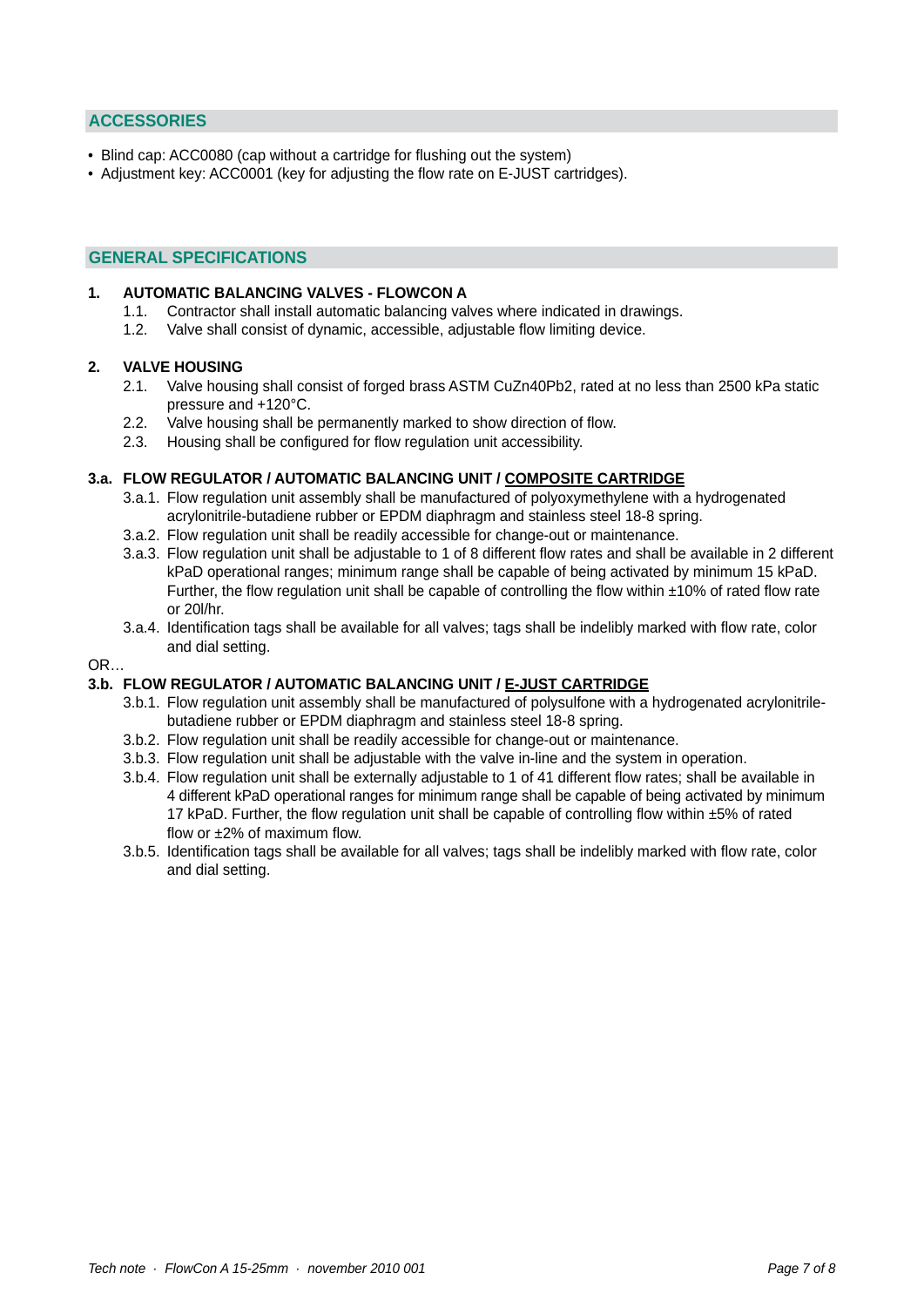## **ACCESSORIES**

- Blind cap: ACC0080 (cap without a cartridge for flushing out the system)
- Adjustment key: ACC0001 (key for adjusting the flow rate on E-JUST cartridges).

#### **GENERAL SPECIFICATIONS**

#### **1. AUTOMATIC BALANCING VALVES - FLOWCON A**

- 1.1. Contractor shall install automatic balancing valves where indicated in drawings.
- 1.2. Valve shall consist of dynamic, accessible, adjustable flow limiting device.

#### **2. VALVE HOUSING**

- 2.1. Valve housing shall consist of forged brass ASTM CuZn40Pb2, rated at no less than 2500 kPa static pressure and +120°C.
- 2.2. Valve housing shall be permanently marked to show direction of flow.
- 2.3. Housing shall be configured for flow regulation unit accessibility.

#### **3.a. FLOW REGULATOR / AUTOMATIC BALANCING UNIT / COMPOSITE CARTRIDGE**

- 3.a.1. Flow regulation unit assembly shall be manufactured of polyoxymethylene with a hydrogenated acrylonitrile-butadiene rubber or EPDM diaphragm and stainless steel 18-8 spring.
- 3.a.2. Flow regulation unit shall be readily accessible for change-out or maintenance.
- 3.a.3. Flow regulation unit shall be adjustable to 1 of 8 different flow rates and shall be available in 2 different kPaD operational ranges; minimum range shall be capable of being activated by minimum 15 kPaD. Further, the flow regulation unit shall be capable of controlling the flow within ±10% of rated flow rate or 20l/hr.
- 3.a.4. Identification tags shall be available for all valves; tags shall be indelibly marked with flow rate, color and dial setting.

#### OR…

#### **3.b. FLOW REGULATOR / AUTOMATIC BALANCING UNIT / E-JUST CARTRIDGE**

- 3.b.1. Flow regulation unit assembly shall be manufactured of polysulfone with a hydrogenated acrylonitrile butadiene rubber or EPDM diaphragm and stainless steel 18-8 spring.
- 3.b.2. Flow regulation unit shall be readily accessible for change-out or maintenance.
- 3.b.3. Flow regulation unit shall be adjustable with the valve in-line and the system in operation.
- 3.b.4. Flow regulation unit shall be externally adjustable to 1 of 41 different flow rates; shall be available in 4 different kPaD operational ranges for minimum range shall be capable of being activated by minimum 17 kPaD. Further, the flow regulation unit shall be capable of controlling flow within ±5% of rated flow or ±2% of maximum flow.
- 3.b.5. Identification tags shall be available for all valves; tags shall be indelibly marked with flow rate, color and dial setting.